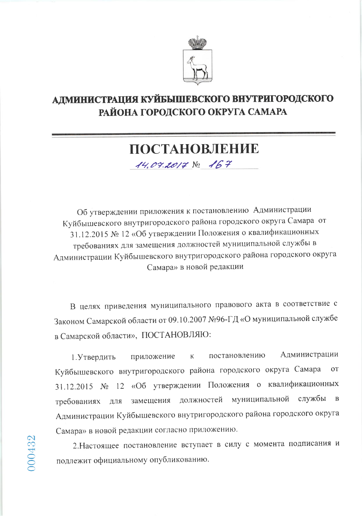

# АДМИНИСТРАЦИЯ КУЙБЫШЕВСКОГО ВНУТРИГОРОДСКОГО РАЙОНА ГОРОДСКОГО ОКРУГА САМАРА

# ПОСТАНОВЛЕНИЕ

14.04.2017 No 167

Об утверждении приложения к постановлению Администрации Куйбышевского внутригородского района городского округа Самара от 31.12.2015 № 12 «Об утверждении Положения о квалификационных требованиях для замещения должностей муниципальной службы в Администрации Куйбышевского внутригородского района городского округа Самара» в новой редакции

В целях приведения муниципального правового акта в соответствие с Законом Самарской области от 09.10.2007 №96-ГД «О муниципальной службе в Самарской области», ПОСТАНОВЛЯЮ:

Администрации постановлению 1. Утвердить приложение  $\rm K$ Куйбышевского внутригородского района городского округа Самара **OT** 31.12.2015 № 12 «Об утверждении Положения о квалификационных замещения должностей муниципальной службы  $\mathbf{B}$ требованиях ДЛЯ Администрации Куйбышевского внутригородского района городского округа Самара» в новой редакции согласно приложению.

2. Настоящее постановление вступает в силу с момента подписания и подлежит официальному опубликованию.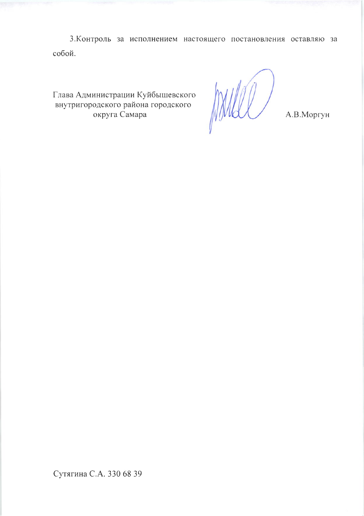3. Контроль за исполнением настоящего постановления оставляю за собой.

Глава Администрации Куйбышевского внутригородского района городского округа Самара

MMHL

А.В.Моргун

Сутягина С.А. 330 68 39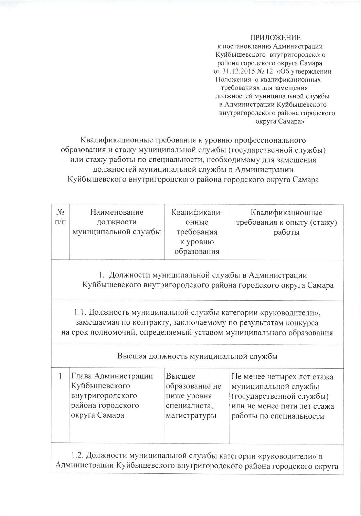### ПРИЛОЖЕНИЕ

к постановлению Администрации Куйбышевского внутригородского района городского округа Самара от 31.12.2015 № 12 «Об утверждении Положения о квалификационных требованиях для замещения должностей муниципальной службы в Администрации Куйбышевского внутригородского района городского округа Самара»

Квалификационные требования к уровню профессионального образования и стажу муниципальной службы (государственной службы) или стажу работы по специальности, необходимому для замещения должностей муниципальной службы в Администрации Куйбышевского внутригородского района городского округа Самара

| $N_{\mathcal{Q}}$<br>$\Pi/\Pi$                                                                                                                                                                        | Наименование<br>должности<br>муниципальной службы                                              | Квалификаци-<br>онные<br>требования<br>к уровню<br>образования          | Квалификационные<br>требования к опыту (стажу)<br>работы                                                                                 |  |
|-------------------------------------------------------------------------------------------------------------------------------------------------------------------------------------------------------|------------------------------------------------------------------------------------------------|-------------------------------------------------------------------------|------------------------------------------------------------------------------------------------------------------------------------------|--|
|                                                                                                                                                                                                       |                                                                                                |                                                                         | 1. Должности муниципальной службы в Администрации<br>Куйбышевского внутригородского района городского округа Самара                      |  |
| 1.1. Должность муниципальной службы категории «руководители»,<br>замещаемая по контракту, заключаемому по результатам конкурса<br>на срок полномочий, определяемый уставом муниципального образования |                                                                                                |                                                                         |                                                                                                                                          |  |
|                                                                                                                                                                                                       |                                                                                                | Высшая должность муниципальной службы                                   |                                                                                                                                          |  |
| 1                                                                                                                                                                                                     | Глава Администрации<br>Куйбышевского<br>внутригородского<br>района городского<br>округа Самара | Высшее<br>образование не<br>ниже уровня<br>специалиста,<br>магистратуры | Не менее четырех лет стажа<br>муниципальной службы<br>(государственной службы)<br>или не менее пяти лет стажа<br>работы по специальности |  |
| 1.2. Должности муниципальной службы категории «руководители» в<br>Администрации Куйбышевского внутригородского района городского округа                                                               |                                                                                                |                                                                         |                                                                                                                                          |  |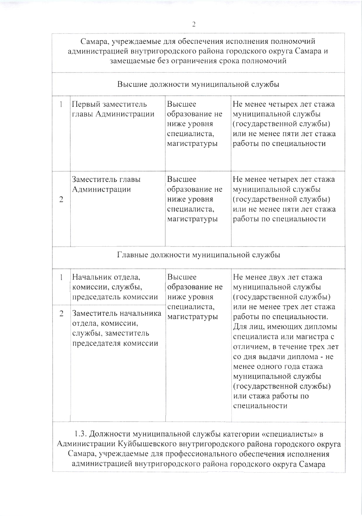Самара, учреждаемые для обеспечения исполнения полномочий администрацией внутригородского района городского округа Самара и замещаемые без ограничения срока полномочий

| Высшие должности муниципальной службы |                                                                                             |                                                                         |                                                                                                                                                                                                                                                                                                        |
|---------------------------------------|---------------------------------------------------------------------------------------------|-------------------------------------------------------------------------|--------------------------------------------------------------------------------------------------------------------------------------------------------------------------------------------------------------------------------------------------------------------------------------------------------|
| $\mathbf{1}$                          | Первый заместитель<br>главы Администрации                                                   | Высшее<br>образование не<br>ниже уровня<br>специалиста,<br>магистратуры | Не менее четырех лет стажа<br>муниципальной службы<br>(государственной службы)<br>или не менее пяти лет стажа<br>работы по специальности                                                                                                                                                               |
| $\overline{c}$                        | Заместитель главы<br>Администрации                                                          | Высшее<br>образование не<br>ниже уровня<br>специалиста,<br>магистратуры | Не менее четырех лет стажа<br>муниципальной службы<br>(государственной службы)<br>или не менее пяти лет стажа<br>работы по специальности                                                                                                                                                               |
|                                       |                                                                                             | Главные должности муниципальной службы                                  |                                                                                                                                                                                                                                                                                                        |
| 1                                     | Начальник отдела,<br>комиссии, службы,<br>председатель комиссии                             | Высшее<br>образование не<br>ниже уровня                                 | Не менее двух лет стажа<br>муниципальной службы<br>(государственной службы)                                                                                                                                                                                                                            |
| $\overline{2}$                        | Заместитель начальника<br>отдела, комиссии,<br>службы, заместитель<br>председателя комиссии | специалиста,<br>магистратуры                                            | или не менее трех лет стажа<br>работы по специальности.<br>Для лиц, имеющих дипломы<br>специалиста или магистра с<br>отличием, в течение трех лет<br>со дня выдачи диплома - не<br>менее одного года стажа<br>муниципальной службы<br>(государственной службы)<br>или стажа работы по<br>специальности |

1.3. Должности муниципальной службы категории «специалисты» в Администрации Куйбышевского внутригородского района городского округа Самара, учреждаемые для профессионального обеспечения исполнения администрацией внутригородского района городского округа Самара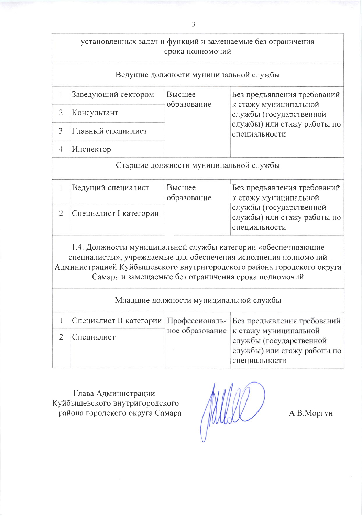# установленных задач и функций и замещаемые без ограничения срока полномочий

## Ведущие должности муниципальной службы

| Заведующий сектором | Высшее<br>образование | Без предъявления требований<br>к стажу муниципальной<br>службы (государственной<br>службы) или стажу работы по<br>специальности |
|---------------------|-----------------------|---------------------------------------------------------------------------------------------------------------------------------|
| Консультант         |                       |                                                                                                                                 |
| Главный специалист  |                       |                                                                                                                                 |
| Инспектор           |                       |                                                                                                                                 |

Старшие должности муниципальной службы

| Ведущий специалист     | Высшее<br>образование | Без предъявления требований<br>к стажу муниципальной                    |
|------------------------|-----------------------|-------------------------------------------------------------------------|
| Специалист I категории |                       | службы (государственной<br>службы) или стажу работы по<br>специальности |

1.4. Должности муниципальной службы категории «обеспечивающие специалисты», учреждаемые для обеспечения исполнения полномочий Администрацией Куйбышевского внутригородского района городского округа Самара и замещаемые без ограничения срока полномочий

Младшие должности муниципальной службы

|              | Специалист II категории   Профессиональ-   Без предъявления требований                                             |
|--------------|--------------------------------------------------------------------------------------------------------------------|
| 2 Специалист | ное образование   к стажу муниципальной<br>службы (государственной<br>службы) или стажу работы по<br>специальности |

Глава Администрации Куйбышевского внутригородского района городского округа Самара

MULL

А.В.Моргун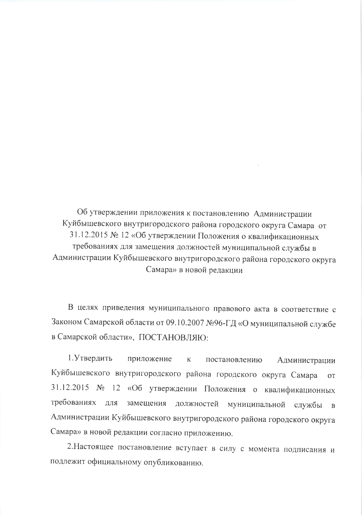Об утверждении приложения к постановлению Администрации Куйбышевского внутригородского района городского округа Самара от 31.12.2015 № 12 «Об утверждении Положения о квалификационных требованиях для замещения должностей муниципальной службы в Администрации Куйбышевского внутригородского района городского округа Самара» в новой редакции

В целях приведения муниципального правового акта в соответствие с Законом Самарской области от 09.10.2007 №96-ГД «О муниципальной службе в Самарской области», ПОСТАНОВЛЯЮ:

1. Утвердить приложение к постановлению Администрации Куйбышевского внутригородского района городского округа Самара от 31.12.2015 № 12 «Об утверждении Положения о квалификационных требованиях для замещения должностей муниципальной службы в Администрации Куйбышевского внутригородского района городского округа Самара» в новой редакции согласно приложению.

2. Настоящее постановление вступает в силу с момента подписания и подлежит официальному опубликованию.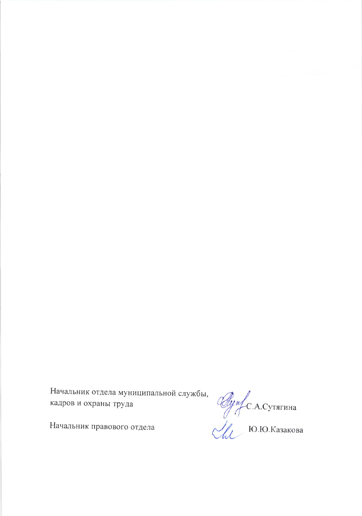Начальник отдела муниципальной службы, кадров и охраны труда

Agref C.A.Cyraruna

Начальник правового отдела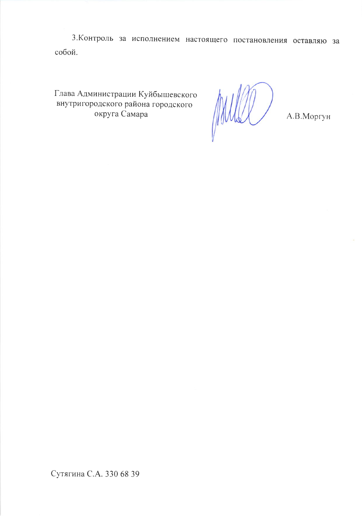3. Контроль за исполнением настоящего постановления оставляю за собой.

Глава Администрации Куйбышевского внутригородского района городского округа Самара

A.B.MOPTYH

Сутягина С.А. 330 68 39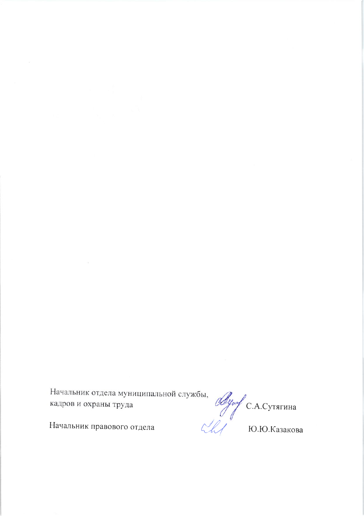Начальник отдела муниципальной службы,  $\mathscr{A}_{\mu\nu}$  С.А.Сутягина кадров и охраны труда  $\mathbb{C}$  С.А.Сутягина Ю.Ю.Казакова